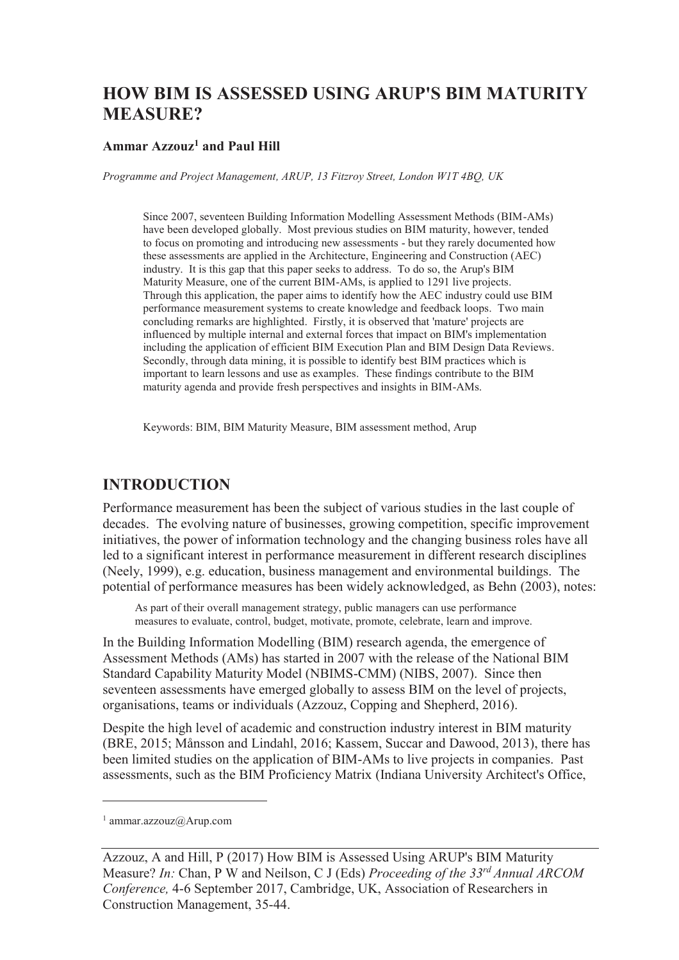# **HOW BIM IS ASSESSED USING ARUP'S BIM MATURITY MEASURE?**

#### **Ammar Azzouz<sup>1</sup> and Paul Hill**

*Programme and Project Management, ARUP, 13 Fitzroy Street, London W1T 4BQ, UK* 

Since 2007, seventeen Building Information Modelling Assessment Methods (BIM-AMs) have been developed globally. Most previous studies on BIM maturity, however, tended to focus on promoting and introducing new assessments - but they rarely documented how these assessments are applied in the Architecture, Engineering and Construction (AEC) industry. It is this gap that this paper seeks to address. To do so, the Arup's BIM Maturity Measure, one of the current BIM-AMs, is applied to 1291 live projects. Through this application, the paper aims to identify how the AEC industry could use BIM performance measurement systems to create knowledge and feedback loops. Two main concluding remarks are highlighted. Firstly, it is observed that 'mature' projects are influenced by multiple internal and external forces that impact on BIM's implementation including the application of efficient BIM Execution Plan and BIM Design Data Reviews. Secondly, through data mining, it is possible to identify best BIM practices which is important to learn lessons and use as examples. These findings contribute to the BIM maturity agenda and provide fresh perspectives and insights in BIM-AMs.

Keywords: BIM, BIM Maturity Measure, BIM assessment method, Arup

#### **INTRODUCTION**

Performance measurement has been the subject of various studies in the last couple of decades. The evolving nature of businesses, growing competition, specific improvement initiatives, the power of information technology and the changing business roles have all led to a significant interest in performance measurement in different research disciplines (Neely, 1999), e.g. education, business management and environmental buildings. The potential of performance measures has been widely acknowledged, as Behn (2003), notes:

As part of their overall management strategy, public managers can use performance measures to evaluate, control, budget, motivate, promote, celebrate, learn and improve.

In the Building Information Modelling (BIM) research agenda, the emergence of Assessment Methods (AMs) has started in 2007 with the release of the National BIM Standard Capability Maturity Model (NBIMS-CMM) (NIBS, 2007). Since then seventeen assessments have emerged globally to assess BIM on the level of projects, organisations, teams or individuals (Azzouz, Copping and Shepherd, 2016).

Despite the high level of academic and construction industry interest in BIM maturity (BRE, 2015; Månsson and Lindahl, 2016; Kassem, Succar and Dawood, 2013), there has been limited studies on the application of BIM-AMs to live projects in companies. Past assessments, such as the BIM Proficiency Matrix (Indiana University Architect's Office,

-

<sup>1</sup> ammar.azzouz@Arup.com

Azzouz, A and Hill, P (2017) How BIM is Assessed Using ARUP's BIM Maturity Measure? *In:* Chan, P W and Neilson, C J (Eds) *Proceeding of the 33rd Annual ARCOM Conference,* 4-6 September 2017, Cambridge, UK, Association of Researchers in Construction Management, 35-44.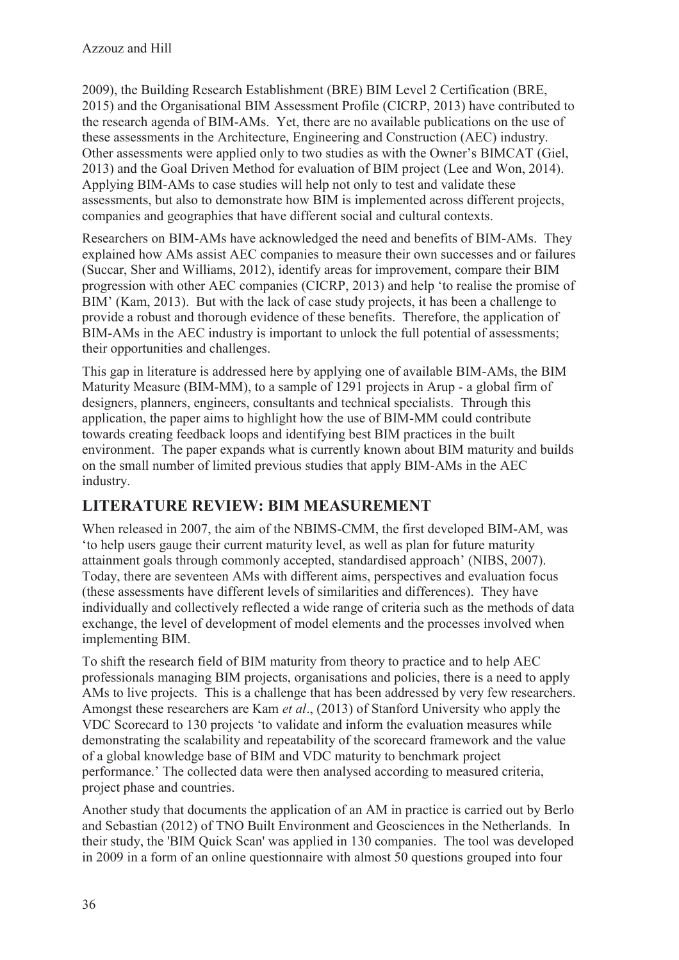2009), the Building Research Establishment (BRE) BIM Level 2 Certification (BRE, 2015) and the Organisational BIM Assessment Profile (CICRP, 2013) have contributed to the research agenda of BIM-AMs. Yet, there are no available publications on the use of these assessments in the Architecture, Engineering and Construction (AEC) industry. Other assessments were applied only to two studies as with the Owner's BIMCAT (Giel, 2013) and the Goal Driven Method for evaluation of BIM project (Lee and Won, 2014). Applying BIM-AMs to case studies will help not only to test and validate these assessments, but also to demonstrate how BIM is implemented across different projects, companies and geographies that have different social and cultural contexts.

Researchers on BIM-AMs have acknowledged the need and benefits of BIM-AMs. They explained how AMs assist AEC companies to measure their own successes and or failures (Succar, Sher and Williams, 2012), identify areas for improvement, compare their BIM progression with other AEC companies (CICRP, 2013) and help 'to realise the promise of BIM' (Kam, 2013). But with the lack of case study projects, it has been a challenge to provide a robust and thorough evidence of these benefits. Therefore, the application of BIM-AMs in the AEC industry is important to unlock the full potential of assessments; their opportunities and challenges.

This gap in literature is addressed here by applying one of available BIM-AMs, the BIM Maturity Measure (BIM-MM), to a sample of 1291 projects in Arup - a global firm of designers, planners, engineers, consultants and technical specialists. Through this application, the paper aims to highlight how the use of BIM-MM could contribute towards creating feedback loops and identifying best BIM practices in the built environment. The paper expands what is currently known about BIM maturity and builds on the small number of limited previous studies that apply BIM-AMs in the AEC industry.

## **LITERATURE REVIEW: BIM MEASUREMENT**

When released in 2007, the aim of the NBIMS-CMM, the first developed BIM-AM, was 'to help users gauge their current maturity level, as well as plan for future maturity attainment goals through commonly accepted, standardised approach' (NIBS, 2007). Today, there are seventeen AMs with different aims, perspectives and evaluation focus (these assessments have different levels of similarities and differences). They have individually and collectively reflected a wide range of criteria such as the methods of data exchange, the level of development of model elements and the processes involved when implementing BIM.

To shift the research field of BIM maturity from theory to practice and to help AEC professionals managing BIM projects, organisations and policies, there is a need to apply AMs to live projects. This is a challenge that has been addressed by very few researchers. Amongst these researchers are Kam *et al*., (2013) of Stanford University who apply the VDC Scorecard to 130 projects 'to validate and inform the evaluation measures while demonstrating the scalability and repeatability of the scorecard framework and the value of a global knowledge base of BIM and VDC maturity to benchmark project performance.' The collected data were then analysed according to measured criteria, project phase and countries.

Another study that documents the application of an AM in practice is carried out by Berlo and Sebastian (2012) of TNO Built Environment and Geosciences in the Netherlands. In their study, the 'BIM Quick Scan' was applied in 130 companies. The tool was developed in 2009 in a form of an online questionnaire with almost 50 questions grouped into four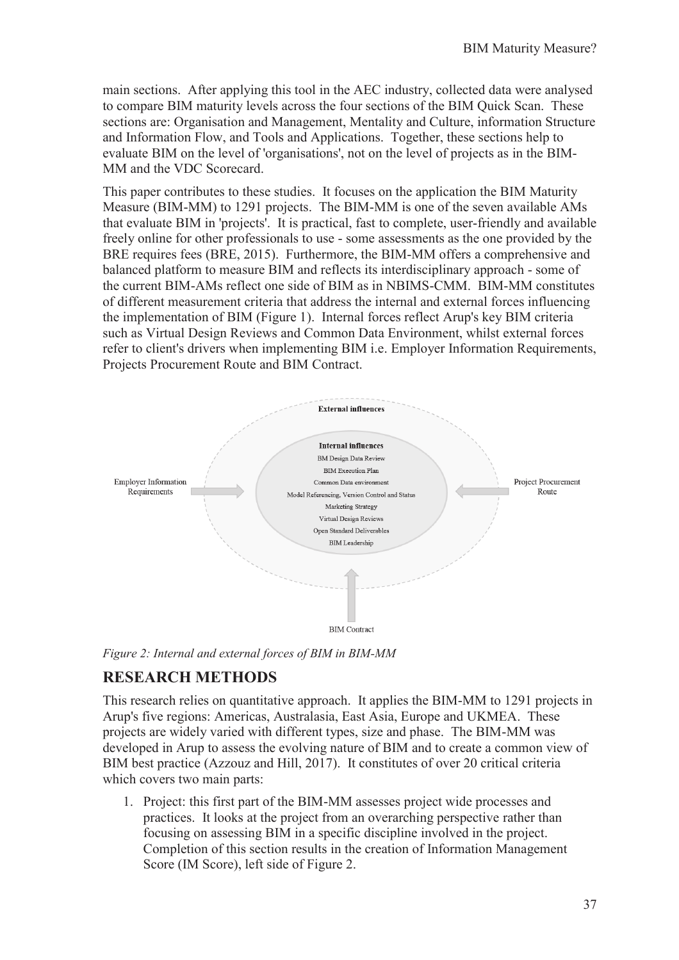main sections. After applying this tool in the AEC industry, collected data were analysed to compare BIM maturity levels across the four sections of the BIM Quick Scan. These sections are: Organisation and Management, Mentality and Culture, information Structure and Information Flow, and Tools and Applications. Together, these sections help to evaluate BIM on the level of 'organisations', not on the level of projects as in the BIM-MM and the VDC Scorecard.

This paper contributes to these studies. It focuses on the application the BIM Maturity Measure (BIM-MM) to 1291 projects. The BIM-MM is one of the seven available AMs that evaluate BIM in 'projects'. It is practical, fast to complete, user-friendly and available freely online for other professionals to use - some assessments as the one provided by the BRE requires fees (BRE, 2015). Furthermore, the BIM-MM offers a comprehensive and balanced platform to measure BIM and reflects its interdisciplinary approach - some of the current BIM-AMs reflect one side of BIM as in NBIMS-CMM. BIM-MM constitutes of different measurement criteria that address the internal and external forces influencing the implementation of BIM (Figure 1). Internal forces reflect Arup's key BIM criteria such as Virtual Design Reviews and Common Data Environment, whilst external forces refer to client's drivers when implementing BIM i.e. Employer Information Requirements, Projects Procurement Route and BIM Contract.



*Figure 2: Internal and external forces of BIM in BIM-MM* 

### **RESEARCH METHODS**

This research relies on quantitative approach. It applies the BIM-MM to 1291 projects in Arup's five regions: Americas, Australasia, East Asia, Europe and UKMEA. These projects are widely varied with different types, size and phase. The BIM-MM was developed in Arup to assess the evolving nature of BIM and to create a common view of BIM best practice (Azzouz and Hill, 2017). It constitutes of over 20 critical criteria which covers two main parts:

1. Project: this first part of the BIM-MM assesses project wide processes and practices. It looks at the project from an overarching perspective rather than focusing on assessing BIM in a specific discipline involved in the project. Completion of this section results in the creation of Information Management Score (IM Score), left side of Figure 2.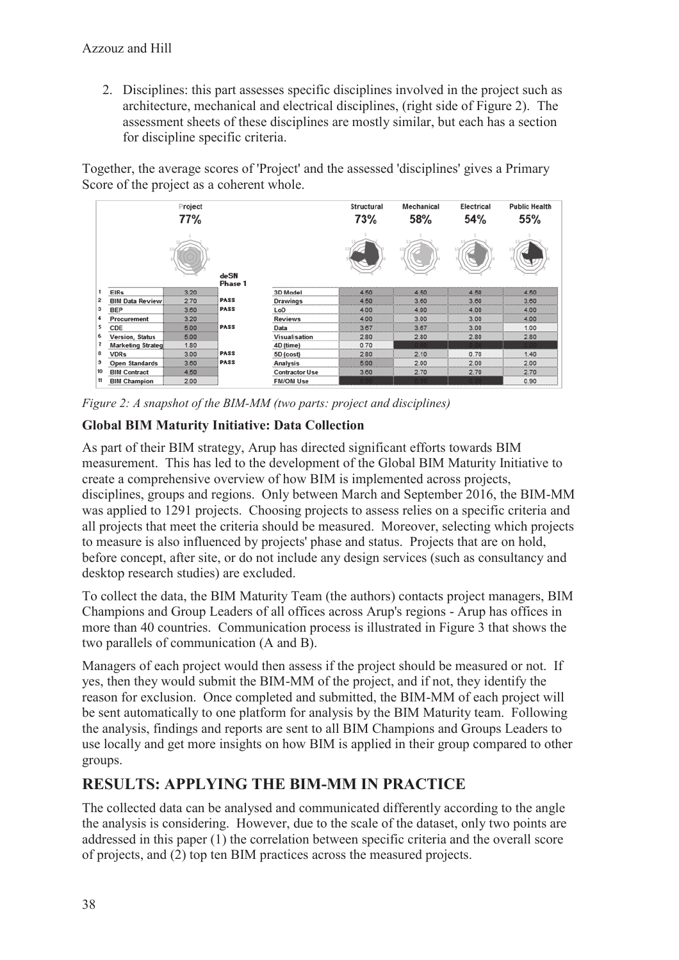2. Disciplines: this part assesses specific disciplines involved in the project such as architecture, mechanical and electrical disciplines, (right side of Figure 2). The assessment sheets of these disciplines are mostly similar, but each has a section for discipline specific criteria.

Together, the average scores of 'Project' and the assessed 'disciplines' gives a Primary Score of the project as a coherent whole.



*Figure 2: A snapshot of the BIM-MM (two parts: project and disciplines)* 

#### **Global BIM Maturity Initiative: Data Collection**

As part of their BIM strategy, Arup has directed significant efforts towards BIM measurement. This has led to the development of the Global BIM Maturity Initiative to create a comprehensive overview of how BIM is implemented across projects, disciplines, groups and regions. Only between March and September 2016, the BIM-MM was applied to 1291 projects. Choosing projects to assess relies on a specific criteria and all projects that meet the criteria should be measured. Moreover, selecting which projects to measure is also influenced by projects' phase and status. Projects that are on hold, before concept, after site, or do not include any design services (such as consultancy and desktop research studies) are excluded.

To collect the data, the BIM Maturity Team (the authors) contacts project managers, BIM Champions and Group Leaders of all offices across Arup's regions - Arup has offices in more than 40 countries. Communication process is illustrated in Figure 3 that shows the two parallels of communication (A and B).

Managers of each project would then assess if the project should be measured or not. If yes, then they would submit the BIM-MM of the project, and if not, they identify the reason for exclusion. Once completed and submitted, the BIM-MM of each project will be sent automatically to one platform for analysis by the BIM Maturity team. Following the analysis, findings and reports are sent to all BIM Champions and Groups Leaders to use locally and get more insights on how BIM is applied in their group compared to other groups.

### **RESULTS: APPLYING THE BIM-MM IN PRACTICE**

The collected data can be analysed and communicated differently according to the angle the analysis is considering. However, due to the scale of the dataset, only two points are addressed in this paper (1) the correlation between specific criteria and the overall score of projects, and (2) top ten BIM practices across the measured projects.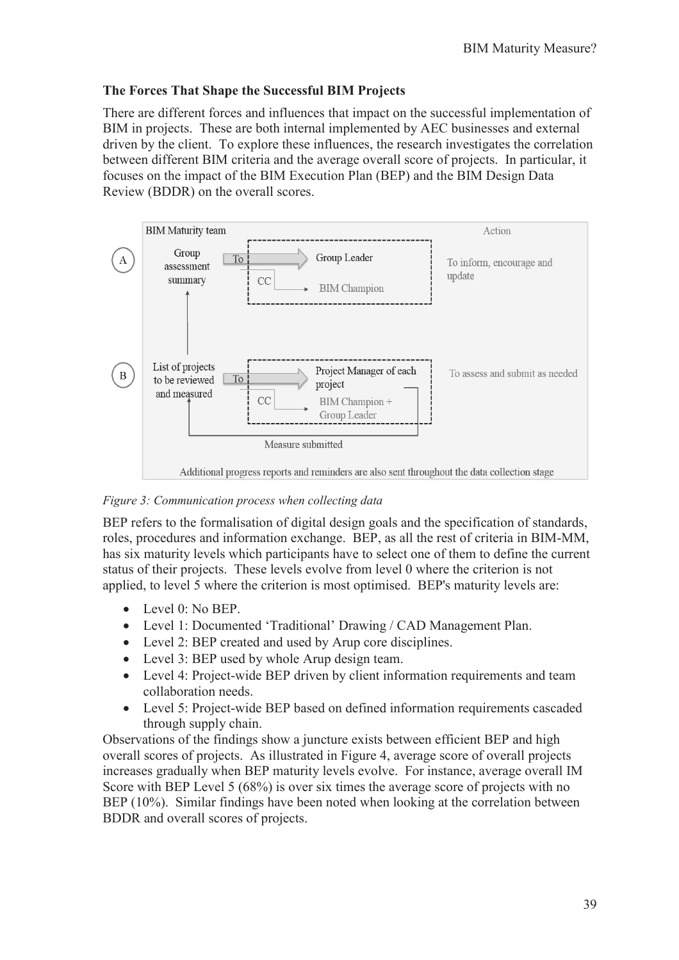#### **The Forces That Shape the Successful BIM Projects**

There are different forces and influences that impact on the successful implementation of BIM in projects. These are both internal implemented by AEC businesses and external driven by the client. To explore these influences, the research investigates the correlation between different BIM criteria and the average overall score of projects. In particular, it focuses on the impact of the BIM Execution Plan (BEP) and the BIM Design Data Review (BDDR) on the overall scores.



*Figure 3: Communication process when collecting data* 

BEP refers to the formalisation of digital design goals and the specification of standards, roles, procedures and information exchange. BEP, as all the rest of criteria in BIM-MM, has six maturity levels which participants have to select one of them to define the current status of their projects. These levels evolve from level 0 where the criterion is not applied, to level 5 where the criterion is most optimised. BEP's maturity levels are:

- Level 0: No BEP.
- · Level 1: Documented 'Traditional' Drawing / CAD Management Plan.
- Level 2: BEP created and used by Arup core disciplines.
- Level 3: BEP used by whole Arup design team.
- · Level 4: Project-wide BEP driven by client information requirements and team collaboration needs.
- · Level 5: Project-wide BEP based on defined information requirements cascaded through supply chain.

Observations of the findings show a juncture exists between efficient BEP and high overall scores of projects. As illustrated in Figure 4, average score of overall projects increases gradually when BEP maturity levels evolve. For instance, average overall IM Score with BEP Level 5 (68%) is over six times the average score of projects with no BEP (10%). Similar findings have been noted when looking at the correlation between BDDR and overall scores of projects.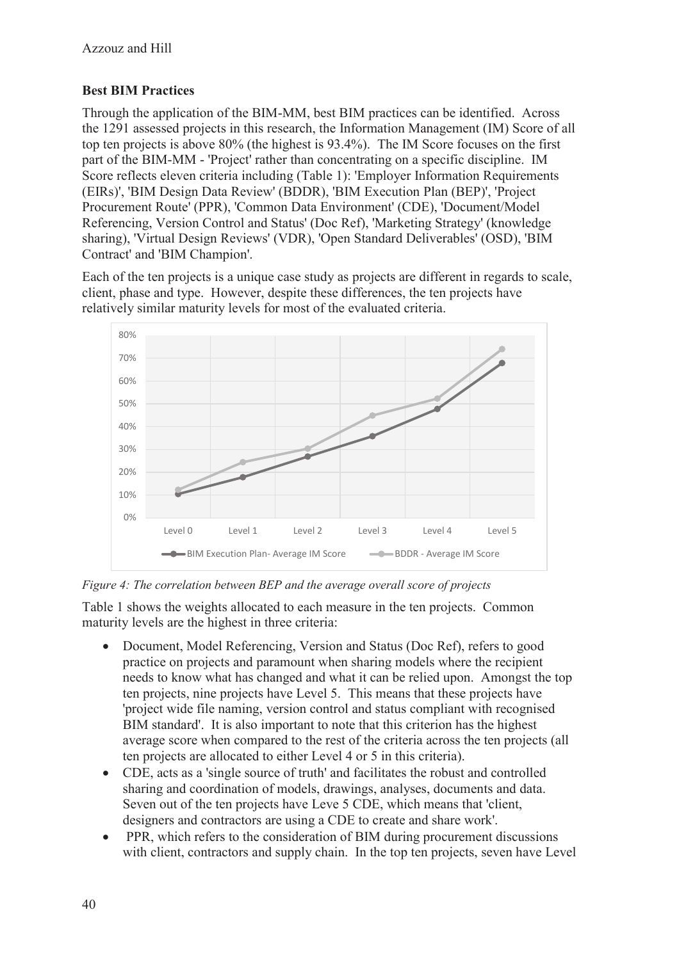### **Best BIM Practices**

Through the application of the BIM-MM, best BIM practices can be identified. Across the 1291 assessed projects in this research, the Information Management (IM) Score of all top ten projects is above 80% (the highest is 93.4%). The IM Score focuses on the first part of the BIM-MM - 'Project' rather than concentrating on a specific discipline. IM Score reflects eleven criteria including (Table 1): 'Employer Information Requirements (EIRs)', 'BIM Design Data Review' (BDDR), 'BIM Execution Plan (BEP)', 'Project Procurement Route' (PPR), 'Common Data Environment' (CDE), 'Document/Model Referencing, Version Control and Status' (Doc Ref), 'Marketing Strategy' (knowledge sharing), 'Virtual Design Reviews' (VDR), 'Open Standard Deliverables' (OSD), 'BIM Contract' and 'BIM Champion'.

Each of the ten projects is a unique case study as projects are different in regards to scale, client, phase and type. However, despite these differences, the ten projects have relatively similar maturity levels for most of the evaluated criteria.



*Figure 4: The correlation between BEP and the average overall score of projects* 

Table 1 shows the weights allocated to each measure in the ten projects. Common maturity levels are the highest in three criteria:

- · Document, Model Referencing, Version and Status (Doc Ref), refers to good practice on projects and paramount when sharing models where the recipient needs to know what has changed and what it can be relied upon. Amongst the top ten projects, nine projects have Level 5. This means that these projects have 'project wide file naming, version control and status compliant with recognised BIM standard'. It is also important to note that this criterion has the highest average score when compared to the rest of the criteria across the ten projects (all ten projects are allocated to either Level 4 or 5 in this criteria).
- · CDE, acts as a 'single source of truth' and facilitates the robust and controlled sharing and coordination of models, drawings, analyses, documents and data. Seven out of the ten projects have Leve 5 CDE, which means that 'client, designers and contractors are using a CDE to create and share work'.
- PPR, which refers to the consideration of BIM during procurement discussions with client, contractors and supply chain. In the top ten projects, seven have Level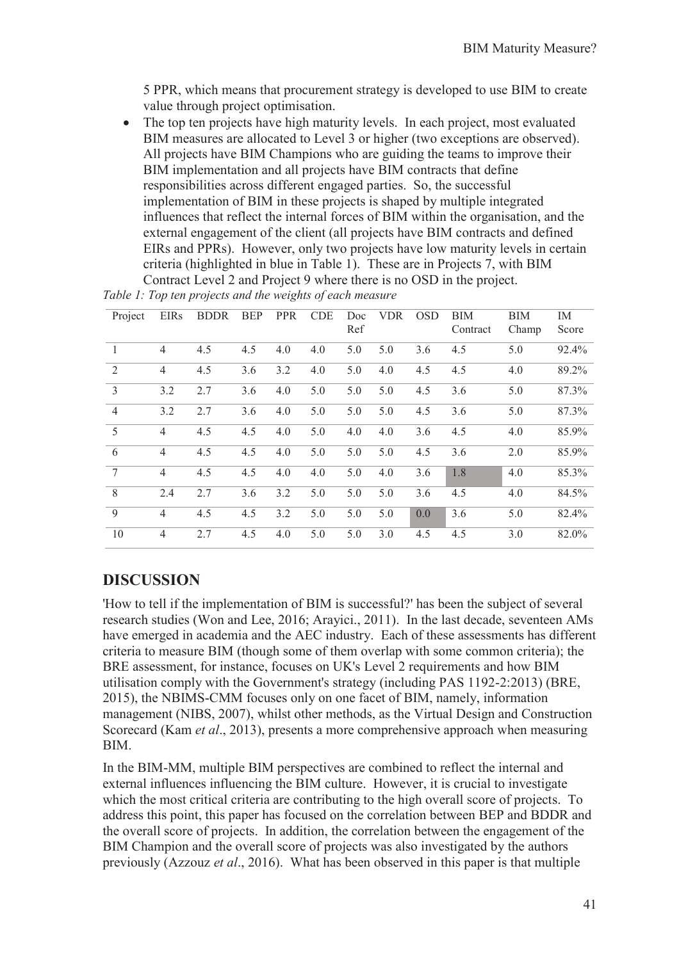5 PPR, which means that procurement strategy is developed to use BIM to create value through project optimisation.

• The top ten projects have high maturity levels. In each project, most evaluated BIM measures are allocated to Level 3 or higher (two exceptions are observed). All projects have BIM Champions who are guiding the teams to improve their BIM implementation and all projects have BIM contracts that define responsibilities across different engaged parties. So, the successful implementation of BIM in these projects is shaped by multiple integrated influences that reflect the internal forces of BIM within the organisation, and the external engagement of the client (all projects have BIM contracts and defined EIRs and PPRs). However, only two projects have low maturity levels in certain criteria (highlighted in blue in Table 1). These are in Projects 7, with BIM Contract Level 2 and Project 9 where there is no OSD in the project.

| Project         | <b>EIRs</b>    | <b>BDDR</b> | <b>BEP</b> | <b>PPR</b> | <b>CDE</b> | Doc<br>Ref | <b>VDR</b> | <b>OSD</b> | <b>BIM</b><br>Contract | BIM<br>Champ | IM<br>Score |
|-----------------|----------------|-------------|------------|------------|------------|------------|------------|------------|------------------------|--------------|-------------|
| $\overline{1}$  | $\overline{4}$ | 4.5         | 4.5        | 4.0        | 4.0        | 5.0        | 5.0        | 3.6        | 4.5                    | 5.0          | 92.4%       |
| 2               | 4              | 4.5         | 3.6        | 3.2        | 4.0        | 5.0        | 4.0        | 4.5        | 4.5                    | 4.0          | 89.2%       |
| $\overline{3}$  | 3.2            | 2.7         | 3.6        | 4.0        | 5.0        | 5.0        | 5.0        | 4.5        | 3.6                    | 5.0          | 87.3%       |
| $\overline{4}$  | 3.2            | 2.7         | 3.6        | 4.0        | 5.0        | 5.0        | 5.0        | 4.5        | 3.6                    | 5.0          | 87.3%       |
| 5               | 4              | 4.5         | 4.5        | 4.0        | 5.0        | 4.0        | 4.0        | 3.6        | 4.5                    | 4.0          | 85.9%       |
| 6               | 4              | 4.5         | 4.5        | 4.0        | 5.0        | 5.0        | 5.0        | 4.5        | 3.6                    | 2.0          | 85.9%       |
| $7\phantom{.0}$ | $\overline{4}$ | 4.5         | 4.5        | 4.0        | 4.0        | 5.0        | 4.0        | 3.6        | 1.8                    | 4.0          | 85.3%       |
| 8               | 2.4            | 2.7         | 3.6        | 3.2        | 5.0        | 5.0        | 5.0        | 3.6        | 4.5                    | 4.0          | 84.5%       |
| 9               | 4              | 4.5         | 4.5        | 3.2        | 5.0        | 5.0        | 5.0        | 0.0        | 3.6                    | 5.0          | 82.4%       |
| <sup>10</sup>   | $\overline{4}$ | 2.7         | 4.5        | 4.0        | 5.0        | 5.0        | 3.0        | 4.5        | 4.5                    | 3.0          | 82.0%       |

*Table 1: Top ten projects and the weights of each measure* 

### **DISCUSSION**

'How to tell if the implementation of BIM is successful?' has been the subject of several research studies (Won and Lee, 2016; Arayici., 2011). In the last decade, seventeen AMs have emerged in academia and the AEC industry. Each of these assessments has different criteria to measure BIM (though some of them overlap with some common criteria); the BRE assessment, for instance, focuses on UK's Level 2 requirements and how BIM utilisation comply with the Government's strategy (including PAS 1192-2:2013) (BRE, 2015), the NBIMS-CMM focuses only on one facet of BIM, namely, information management (NIBS, 2007), whilst other methods, as the Virtual Design and Construction Scorecard (Kam *et al*., 2013), presents a more comprehensive approach when measuring BIM.

In the BIM-MM, multiple BIM perspectives are combined to reflect the internal and external influences influencing the BIM culture. However, it is crucial to investigate which the most critical criteria are contributing to the high overall score of projects. To address this point, this paper has focused on the correlation between BEP and BDDR and the overall score of projects. In addition, the correlation between the engagement of the BIM Champion and the overall score of projects was also investigated by the authors previously (Azzouz *et al*., 2016). What has been observed in this paper is that multiple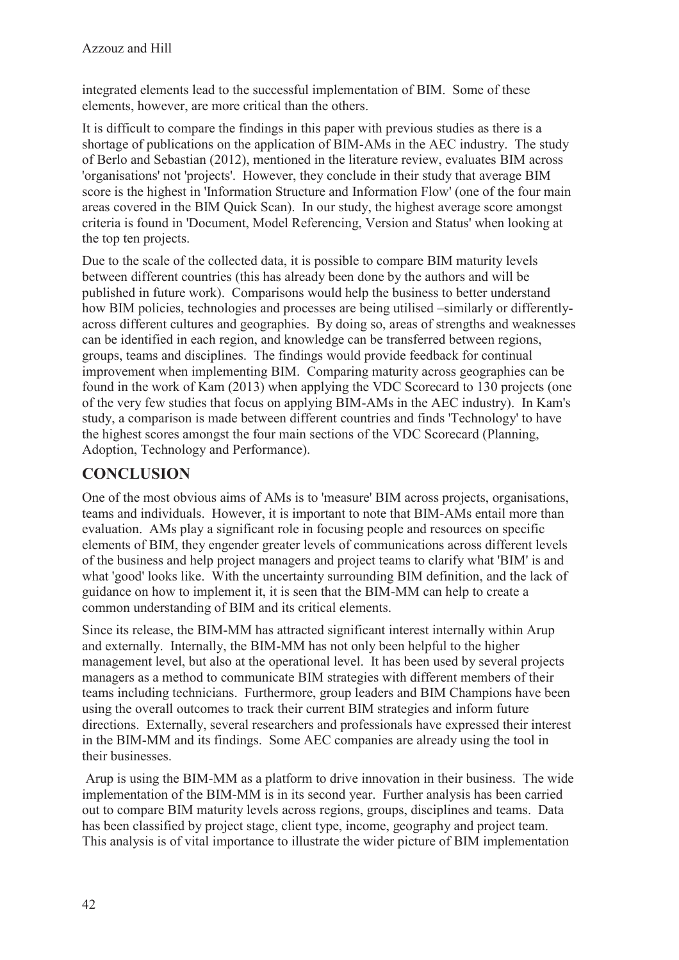integrated elements lead to the successful implementation of BIM. Some of these elements, however, are more critical than the others.

It is difficult to compare the findings in this paper with previous studies as there is a shortage of publications on the application of BIM-AMs in the AEC industry. The study of Berlo and Sebastian (2012), mentioned in the literature review, evaluates BIM across 'organisations' not 'projects'. However, they conclude in their study that average BIM score is the highest in 'Information Structure and Information Flow' (one of the four main areas covered in the BIM Quick Scan). In our study, the highest average score amongst criteria is found in 'Document, Model Referencing, Version and Status' when looking at the top ten projects.

Due to the scale of the collected data, it is possible to compare BIM maturity levels between different countries (this has already been done by the authors and will be published in future work). Comparisons would help the business to better understand how BIM policies, technologies and processes are being utilised –similarly or differentlyacross different cultures and geographies. By doing so, areas of strengths and weaknesses can be identified in each region, and knowledge can be transferred between regions, groups, teams and disciplines. The findings would provide feedback for continual improvement when implementing BIM. Comparing maturity across geographies can be found in the work of Kam (2013) when applying the VDC Scorecard to 130 projects (one of the very few studies that focus on applying BIM-AMs in the AEC industry). In Kam's study, a comparison is made between different countries and finds 'Technology' to have the highest scores amongst the four main sections of the VDC Scorecard (Planning, Adoption, Technology and Performance).

## **CONCLUSION**

One of the most obvious aims of AMs is to 'measure' BIM across projects, organisations, teams and individuals. However, it is important to note that BIM-AMs entail more than evaluation. AMs play a significant role in focusing people and resources on specific elements of BIM, they engender greater levels of communications across different levels of the business and help project managers and project teams to clarify what 'BIM' is and what 'good' looks like. With the uncertainty surrounding BIM definition, and the lack of guidance on how to implement it, it is seen that the BIM-MM can help to create a common understanding of BIM and its critical elements.

Since its release, the BIM-MM has attracted significant interest internally within Arup and externally. Internally, the BIM-MM has not only been helpful to the higher management level, but also at the operational level. It has been used by several projects managers as a method to communicate BIM strategies with different members of their teams including technicians. Furthermore, group leaders and BIM Champions have been using the overall outcomes to track their current BIM strategies and inform future directions. Externally, several researchers and professionals have expressed their interest in the BIM-MM and its findings. Some AEC companies are already using the tool in their businesses.

 Arup is using the BIM-MM as a platform to drive innovation in their business. The wide implementation of the BIM-MM is in its second year. Further analysis has been carried out to compare BIM maturity levels across regions, groups, disciplines and teams. Data has been classified by project stage, client type, income, geography and project team. This analysis is of vital importance to illustrate the wider picture of BIM implementation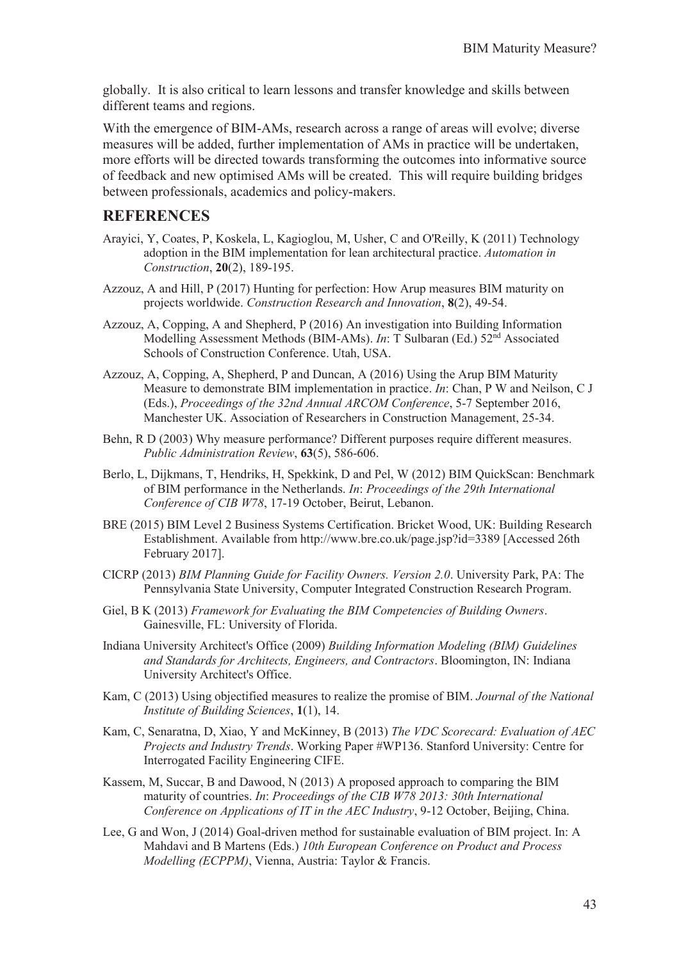globally. It is also critical to learn lessons and transfer knowledge and skills between different teams and regions.

With the emergence of BIM-AMs, research across a range of areas will evolve; diverse measures will be added, further implementation of AMs in practice will be undertaken, more efforts will be directed towards transforming the outcomes into informative source of feedback and new optimised AMs will be created. This will require building bridges between professionals, academics and policy-makers.

#### **REFERENCES**

- Arayici, Y, Coates, P, Koskela, L, Kagioglou, M, Usher, C and O'Reilly, K (2011) Technology adoption in the BIM implementation for lean architectural practice. *Automation in Construction*, **20**(2), 189-195.
- Azzouz, A and Hill, P (2017) Hunting for perfection: How Arup measures BIM maturity on projects worldwide. *Construction Research and Innovation*, **8**(2), 49-54.
- Azzouz, A, Copping, A and Shepherd, P (2016) An investigation into Building Information Modelling Assessment Methods (BIM-AMs). *In*: T Sulbaran (Ed.) 52nd Associated Schools of Construction Conference. Utah, USA.
- Azzouz, A, Copping, A, Shepherd, P and Duncan, A (2016) Using the Arup BIM Maturity Measure to demonstrate BIM implementation in practice. *In*: Chan, P W and Neilson, C J (Eds.), *Proceedings of the 32nd Annual ARCOM Conference*, 5-7 September 2016, Manchester UK. Association of Researchers in Construction Management, 25-34.
- Behn, R D (2003) Why measure performance? Different purposes require different measures. *Public Administration Review*, **63**(5), 586-606.
- Berlo, L, Dijkmans, T, Hendriks, H, Spekkink, D and Pel, W (2012) BIM QuickScan: Benchmark of BIM performance in the Netherlands. *In*: *Proceedings of the 29th International Conference of CIB W78*, 17-19 October, Beirut, Lebanon.
- BRE (2015) BIM Level 2 Business Systems Certification. Bricket Wood, UK: Building Research Establishment. Available from http://www.bre.co.uk/page.jsp?id=3389 [Accessed 26th February 2017].
- CICRP (2013) *BIM Planning Guide for Facility Owners. Version 2.0*. University Park, PA: The Pennsylvania State University, Computer Integrated Construction Research Program.
- Giel, B K (2013) *Framework for Evaluating the BIM Competencies of Building Owners*. Gainesville, FL: University of Florida.
- Indiana University Architect's Office (2009) *Building Information Modeling (BIM) Guidelines and Standards for Architects, Engineers, and Contractors*. Bloomington, IN: Indiana University Architect's Office.
- Kam, C (2013) Using objectified measures to realize the promise of BIM. *Journal of the National Institute of Building Sciences*, **1**(1), 14.
- Kam, C, Senaratna, D, Xiao, Y and McKinney, B (2013) *The VDC Scorecard: Evaluation of AEC Projects and Industry Trends*. Working Paper #WP136. Stanford University: Centre for Interrogated Facility Engineering CIFE.
- Kassem, M, Succar, B and Dawood, N (2013) A proposed approach to comparing the BIM maturity of countries. *In*: *Proceedings of the CIB W78 2013: 30th International Conference on Applications of IT in the AEC Industry*, 9-12 October, Beijing, China.
- Lee, G and Won, J (2014) Goal-driven method for sustainable evaluation of BIM project. In: A Mahdavi and B Martens (Eds.) *10th European Conference on Product and Process Modelling (ECPPM)*, Vienna, Austria: Taylor & Francis.